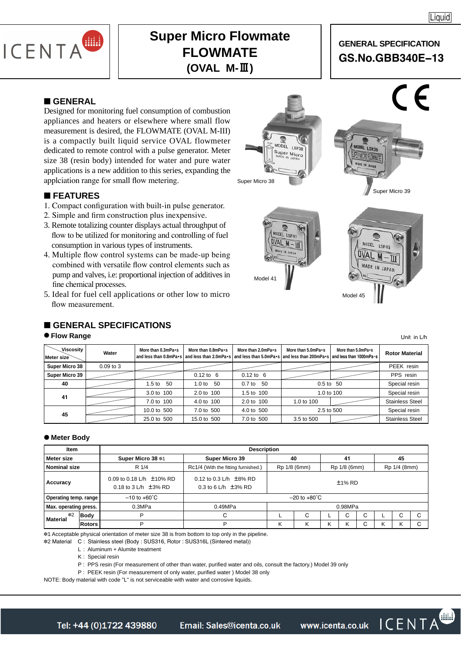

# **Super Micro Flowmate FLOWMATE (OVAL M-Ⅲ)**

# **GENERAL SPECIFICATION GS.No.GBB340E−13**

### ■ **GENERAL**

Designed for monitoring fuel consumption of combustion appliances and heaters or elsewhere where small flow measurement is desired, the FLOWMATE (OVAL M-III) is a compactly built liquid service OVAL flowmeter dedicated to remote control with a pulse generator. Meter size 38 (resin body) intended for water and pure water applications is a new addition to this series, expanding the applciation range for small flow metering.

## ■ **FEATURES**

- 1. Compact configuration with built-in pulse generator.
- 2. Simple and firm construction plus inexpensive.
- 3. Remote totalizing counter displays actual throughput of flow to be utilized for monitoring and controlling of fuel consumption in various types of instruments.
- 4. Multiple flow control systems can be made-up being combined with versatile flow control elements such as pump and valves, i.e: proportional injection of additives in fine chemical processes.
- 5. Ideal for fuel cell applications or other low to micro flow measurement.

# ■ **GENERAL SPECIFICATIONS**

#### ● **Flow Range**

| Viscosity<br>Meter size | Water         | More than 0.3mPa.s | More than 0.8mPa.s<br>and less than 0.8mPa•s and less than 2.0mPa•s and less than 5.0mPa•s and less than 200mPa•s and less than 1000mPa•s | More than 2.0mPa.s   | More than 5.0mPa.s | More than 5.0mPa.s | <b>Rotor Material</b>  |
|-------------------------|---------------|--------------------|-------------------------------------------------------------------------------------------------------------------------------------------|----------------------|--------------------|--------------------|------------------------|
| Super Micro 38          | $0.09$ to $3$ |                    |                                                                                                                                           |                      |                    |                    | PEEK resin             |
| Super Micro 39          |               |                    | $0.12 \text{ to } 6$                                                                                                                      | $0.12 \text{ to } 6$ |                    |                    | PPS resin              |
| 40                      |               | 1.5 to 50          | -50<br>1.0 <sub>to</sub>                                                                                                                  | 0.7 to 50            | $0.5$ to $50$      | Special resin      |                        |
| 41                      |               | 3.0 to 100         | 2.0 to 100                                                                                                                                | 1.5 to 100           | 1.0 to 100         |                    | Special resin          |
|                         |               | 7.0 to 100         | 4.0 to 100                                                                                                                                | 2.0 to 100           | 1.0 to 100         |                    | <b>Stainless Steel</b> |
| 45                      |               | 10.0 to 500        | 7.0 to 500                                                                                                                                | 4.0 to 500           | 2.5 to 500         |                    | Special resin          |
|                         |               | 25.0 to 500        | 15.0 to 500                                                                                                                               | 7.0 to 500           | 3.5 to 500         |                    | <b>Stainless Steel</b> |

#### ● **Meter Body**

| Item                    |        | <b>Description</b>                                           |                                                         |                          |   |    |           |              |              |   |              |  |  |
|-------------------------|--------|--------------------------------------------------------------|---------------------------------------------------------|--------------------------|---|----|-----------|--------------|--------------|---|--------------|--|--|
| Meter size              |        | Super Micro 38 *1                                            | Super Micro 39                                          | 40                       |   | 41 |           |              | 45           |   |              |  |  |
| <b>Nominal size</b>     |        | R 1/4<br>Rc1/4 (With the fitting furnished.)<br>Rp 1/8 (6mm) |                                                         |                          |   |    |           | Rp 1/8 (6mm) | Rp 1/4 (8mm) |   |              |  |  |
| Accuracy                |        | 0.09 to 0.18 L/h $±10\%$ RD<br>0.18 to 3 L/h $\pm$ 3% RD     | 0.12 to 0.3 L/h $\pm$ 8% RD<br>0.3 to 6 L/h $\pm$ 3% RD |                          |   |    | $±1\%$ RD |              |              |   |              |  |  |
| Operating temp. range   |        | $-10$ to $+60^{\circ}$ C                                     |                                                         | $-20$ to $+80^{\circ}$ C |   |    |           |              |              |   |              |  |  |
| Max. operating press.   |        | 0.3MPa                                                       | 0.49MPa                                                 | 0.98MPa                  |   |    |           |              |              |   |              |  |  |
| $*2$<br><b>Material</b> | Body   | P                                                            | С                                                       |                          | С |    | U         | C            |              | C | $\sim$<br>ι. |  |  |
|                         | Rotors | D                                                            | D                                                       | κ                        |   | κ  |           | С            | Κ            | κ |              |  |  |

✽1 Acceptable physical orientation of meter size 38 is from bottom to top only in the pipeline.

✽2 Material C : Stainless steel (Body : SUS316, Rotor : SUS316L (Sintered metal))

L : Aluminum + Alumite treatment

K : Special resin

P: PPS resin (For measurement of other than water, purified water and oils, consult the factory.) Model 39 only

P : PEEK resin (For measurement of only water, purified water ) Model 38 only

NOTE: Body material with code "L" is not serviceable with water and corrosive liquids.







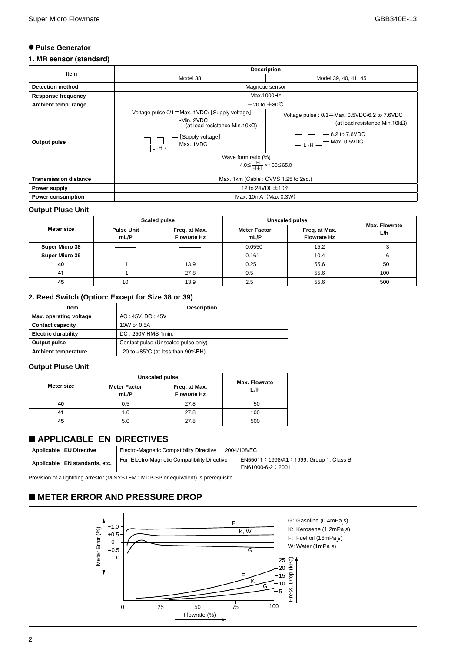#### ● **Pulse Generator**

#### **1. MR sensor (standard)**

| Item                         | <b>Description</b>                                                                                                                                                                                                                                                                                                                                                                                                                                                                                                                                                                                                        |                                                                                                                                                                                                                                                                                                                                                                                                                                                                                                                                                                                                                                             |  |  |  |  |  |
|------------------------------|---------------------------------------------------------------------------------------------------------------------------------------------------------------------------------------------------------------------------------------------------------------------------------------------------------------------------------------------------------------------------------------------------------------------------------------------------------------------------------------------------------------------------------------------------------------------------------------------------------------------------|---------------------------------------------------------------------------------------------------------------------------------------------------------------------------------------------------------------------------------------------------------------------------------------------------------------------------------------------------------------------------------------------------------------------------------------------------------------------------------------------------------------------------------------------------------------------------------------------------------------------------------------------|--|--|--|--|--|
|                              | Model 38                                                                                                                                                                                                                                                                                                                                                                                                                                                                                                                                                                                                                  | Model 39, 40, 41, 45                                                                                                                                                                                                                                                                                                                                                                                                                                                                                                                                                                                                                        |  |  |  |  |  |
| <b>Detection method</b>      |                                                                                                                                                                                                                                                                                                                                                                                                                                                                                                                                                                                                                           | Magnetic sensor                                                                                                                                                                                                                                                                                                                                                                                                                                                                                                                                                                                                                             |  |  |  |  |  |
| <b>Response frequency</b>    |                                                                                                                                                                                                                                                                                                                                                                                                                                                                                                                                                                                                                           | Max.1000Hz                                                                                                                                                                                                                                                                                                                                                                                                                                                                                                                                                                                                                                  |  |  |  |  |  |
| Ambient temp. range          |                                                                                                                                                                                                                                                                                                                                                                                                                                                                                                                                                                                                                           | $-20$ to $+80^{\circ}$ C                                                                                                                                                                                                                                                                                                                                                                                                                                                                                                                                                                                                                    |  |  |  |  |  |
| Output pulse                 | Voltage pulse 0/1=Max. 1VDC/ [Supply voltage]<br>-Min. 2VDC<br>(at load resistance Min. 10 $k\Omega$ )<br>- [Supply voltage]<br>$\left\lbrack \left\lbrack \right\rbrack \right\rbrack$ $\left\lbrack \right\rbrack \left\lbrack \right\rbrack \right\rbrack$ $\left\lbrack \right\rbrack$ $\left\lbrack \right\rbrack$ $\left\lbrack \right\rbrack$ $\left\lbrack \right\rbrack$ $\left\lbrack \right\rbrack$ $\left\lbrack \right\rbrack$ $\left\lbrack \right\rbrack$ $\left\lbrack \right\rbrack$ $\left\lbrack \right\rbrack$ $\left\lbrack \right\rbrack$ $\left\lbrack \right\rbrack$ $\left\lbrack \right\rbrack$ | Voltage pulse : $0/1 =$ Max. 0.5VDC/6.2 to 7.6VDC<br>(at load resistance Min.10 $k\Omega$ )<br>$-6.2$ to 7.6VDC<br>$\begin{array}{c}\n\begin{array}{c}\n\begin{array}{c}\n\begin{array}{c}\n\begin{array}{c}\n\end{array}\n\end{array} \\ \begin{array}{c}\n\begin{array}{c}\n\end{array}\n\end{array} \\ \begin{array}{c}\n\begin{array}{c}\n\end{array}\n\end{array} \\ \begin{array}{c}\n\begin{array}{c}\n\end{array}\n\end{array} \\ \begin{array}{c}\n\begin{array}{c}\n\end{array}\n\end{array} \\ \begin{array}{c}\n\end{array}\n\end{array} \\ \begin{array}{c}\n\begin{array}{c}\n\end{array}\n\end{array} \\ \begin{array}{c}\n$ |  |  |  |  |  |
|                              | Wave form ratio (%)                                                                                                                                                                                                                                                                                                                                                                                                                                                                                                                                                                                                       |                                                                                                                                                                                                                                                                                                                                                                                                                                                                                                                                                                                                                                             |  |  |  |  |  |
|                              | $4.0 \leq \frac{H}{H+L} \times 100 \leq 65.0$                                                                                                                                                                                                                                                                                                                                                                                                                                                                                                                                                                             |                                                                                                                                                                                                                                                                                                                                                                                                                                                                                                                                                                                                                                             |  |  |  |  |  |
| <b>Transmission distance</b> | Max. 1km (Cable: CVVS 1.25 to 2sq.)                                                                                                                                                                                                                                                                                                                                                                                                                                                                                                                                                                                       |                                                                                                                                                                                                                                                                                                                                                                                                                                                                                                                                                                                                                                             |  |  |  |  |  |
| Power supply                 | 12 to 24VDC ± 10%                                                                                                                                                                                                                                                                                                                                                                                                                                                                                                                                                                                                         |                                                                                                                                                                                                                                                                                                                                                                                                                                                                                                                                                                                                                                             |  |  |  |  |  |
| Power consumption            | Max. 10mA (Max 0.3W)                                                                                                                                                                                                                                                                                                                                                                                                                                                                                                                                                                                                      |                                                                                                                                                                                                                                                                                                                                                                                                                                                                                                                                                                                                                                             |  |  |  |  |  |

#### **Output Pluse Unit**

|                |                           | <b>Scaled pulse</b>                 | <b>Unscaled pulse</b>       |                                     |                             |  |  |
|----------------|---------------------------|-------------------------------------|-----------------------------|-------------------------------------|-----------------------------|--|--|
| Meter size     | <b>Pulse Unit</b><br>mL/P | Freq. at Max.<br><b>Flowrate Hz</b> | <b>Meter Factor</b><br>mL/P | Freq. at Max.<br><b>Flowrate Hz</b> | <b>Max. Flowrate</b><br>L/h |  |  |
| Super Micro 38 |                           |                                     | 0.0550                      | 15.2                                |                             |  |  |
| Super Micro 39 |                           |                                     | 0.161                       | 10.4                                |                             |  |  |
| 40             |                           | 13.9                                | 0.25                        | 55.6                                | 50                          |  |  |
| 41             |                           | 27.8                                | 0.5                         | 55.6                                | 100                         |  |  |
| 45             | 10                        | 13.9                                | 2.5                         | 55.6                                | 500                         |  |  |

#### **2. Reed Switch (Option: Except for Size 38 or 39)**

| ltem                       | <b>Description</b>                            |  |  |  |  |
|----------------------------|-----------------------------------------------|--|--|--|--|
| Max. operating voltage     | AC: 45V, DC: 45V                              |  |  |  |  |
| <b>Contact capacity</b>    | 10W or 0.5A                                   |  |  |  |  |
| <b>Electric durability</b> | DC: 250V RMS 1min.                            |  |  |  |  |
| Output pulse               | Contact pulse (Unscaled pulse only)           |  |  |  |  |
| Ambient temperature        | $-20$ to $+85^{\circ}$ C (at less than 90%RH) |  |  |  |  |

#### **Output Pluse Unit**

|            | <b>Unscaled pulse</b>       |                                     |                             |  |  |  |  |
|------------|-----------------------------|-------------------------------------|-----------------------------|--|--|--|--|
| Meter size | <b>Meter Factor</b><br>mL/P | Freq. at Max.<br><b>Flowrate Hz</b> | <b>Max. Flowrate</b><br>L/h |  |  |  |  |
| 40         | 0.5                         | 27.8                                | 50                          |  |  |  |  |
|            | 1.0                         | 27.8                                | 100                         |  |  |  |  |
|            | 5.0                         | 27.8                                | 500                         |  |  |  |  |

# ■ **APPLICABLE EN DIRECTIVES**

| Applicable EU Directive       | Electro-Magnetic Compatibility Directive : 2004/108/EC |                                                                |  |  |  |  |  |  |  |  |
|-------------------------------|--------------------------------------------------------|----------------------------------------------------------------|--|--|--|--|--|--|--|--|
| Applicable EN standards, etc. | For Electro-Magnetic Compatibility Directive           | EN55011: 1998/A1: 1999. Group 1. Class B<br>EN61000-6-2 : 2001 |  |  |  |  |  |  |  |  |

Provision of a lightning arrestor (M-SYSTEM : MDP-SP or equivalent) is prerequisite.

# ■ **METER ERROR AND PRESSURE DROP**

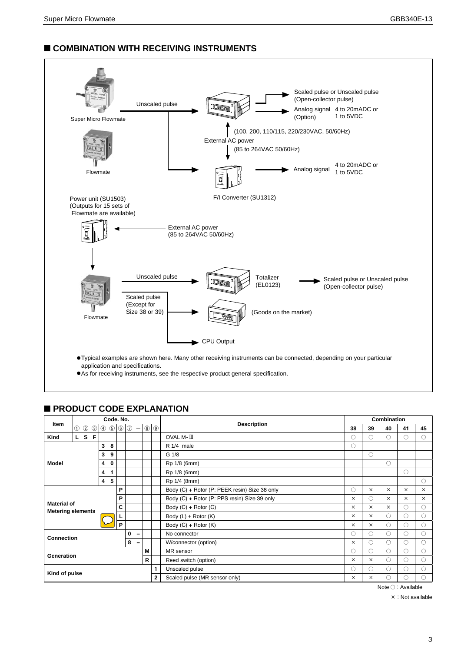# ■ **COMBINATION WITH RECEIVING INSTRUMENTS**



# ■ **PRODUCT CODE EXPLANATION**

| Code, No.<br>Item |                                                          |              | <b>Description</b>                            | Combination  |                        |                      |                          |                                              |              |               |                      |          |          |            |         |    |
|-------------------|----------------------------------------------------------|--------------|-----------------------------------------------|--------------|------------------------|----------------------|--------------------------|----------------------------------------------|--------------|---------------|----------------------|----------|----------|------------|---------|----|
|                   |                                                          |              | 1 2 3                                         |              | 0.6000                 |                      |                          | $\qquad \qquad -$                            | $^\circledR$ | $  \circledS$ |                      | 38       | 39       | 40         | 41      | 45 |
| Kind              |                                                          |              | L S F                                         |              |                        |                      |                          |                                              |              |               | OVAL M-III           | ( )      |          | $\bigcirc$ | 0       | 0  |
|                   |                                                          |              |                                               | 3            | 8                      |                      |                          |                                              |              |               | R 1/4 male           | O        |          |            |         |    |
| 3<br>9            |                                                          |              |                                               |              |                        |                      |                          | G <sub>1/8</sub>                             |              | $\circ$       |                      |          |          |            |         |    |
| <b>Model</b>      |                                                          |              |                                               | 4            | 0                      |                      |                          |                                              |              |               | Rp 1/8 (6mm)         |          |          | $\circ$    |         |    |
|                   |                                                          |              |                                               | 4            | 1                      |                      |                          |                                              |              |               | Rp 1/8 (6mm)         |          |          |            | $\circ$ |    |
| -5<br>4           |                                                          |              |                                               | Rp 1/4 (8mm) |                        |                      |                          |                                              | O            |               |                      |          |          |            |         |    |
| P<br>P            |                                                          |              | Body (C) + Rotor (P: PEEK resin) Size 38 only | O            | $\times$               | $\times$             | $\times$                 | $\times$                                     |              |               |                      |          |          |            |         |    |
|                   |                                                          |              |                                               |              |                        |                      |                          | Body (C) + Rotor (P: PPS resin) Size 39 only | $\times$     | $($ )         | $\times$             | $\times$ | $\times$ |            |         |    |
|                   | <b>Material of</b><br>C<br><b>Metering elements</b><br>P |              |                                               |              |                        | Body (C) + Rotor (C) | $\times$                 | $\times$                                     | $\times$     | 0             | ∩                    |          |          |            |         |    |
|                   |                                                          |              |                                               |              |                        | Body (L) + Rotor (K) | $\times$                 | $\times$                                     | 0            | O             | ∩                    |          |          |            |         |    |
|                   |                                                          |              |                                               |              |                        |                      | Body $(C)$ + Rotor $(K)$ | $\times$                                     | $\times$     | O             | O                    | ∩        |          |            |         |    |
| <b>Connection</b> |                                                          |              |                                               |              |                        |                      | $\bf{0}$                 | $\overline{\phantom{a}}$                     |              |               | No connector         | O        |          | $\circ$    | 0       | 0  |
| 8                 |                                                          |              | W/connector (option)                          | $\times$     | $\left( \quad \right)$ | $\bigcirc$           | 0                        | ∩                                            |              |               |                      |          |          |            |         |    |
| м<br>Generation   |                                                          |              | MR sensor                                     | ∩            |                        | 0                    | 0                        | ∩                                            |              |               |                      |          |          |            |         |    |
|                   |                                                          |              |                                               |              |                        |                      |                          |                                              | R            |               | Reed switch (option) | $\times$ | $\times$ | 0          | 0       | O  |
| Kind of pulse     |                                                          |              | Unscaled pulse                                |              |                        | O                    | O                        | ∩                                            |              |               |                      |          |          |            |         |    |
|                   |                                                          | $\mathbf{2}$ | Scaled pulse (MR sensor only)                 |              | ×                      | O                    | ∩                        |                                              |              |               |                      |          |          |            |         |    |

Note ○:Available

×:Not available